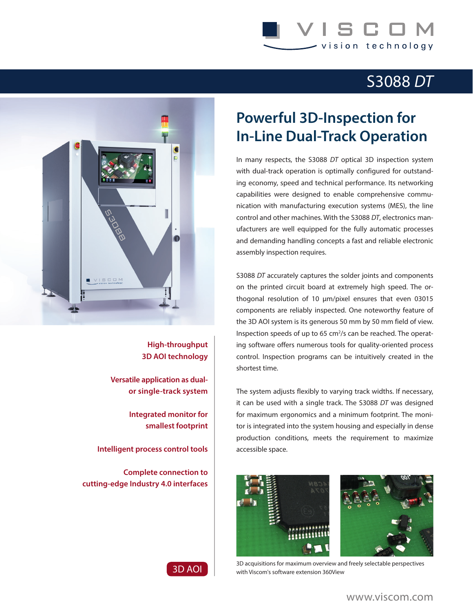## S C I vision technology

## S3088 *DT*



**High-throughput 3D AOI technology**

**Versatile application as dualor single-track system**

> **Integrated monitor for smallest footprint**

**Intelligent process control tools**

**Complete connection to cutting-edge Industry 4.0 interfaces**

## **Powerful 3D-Inspection for In-Line Dual-Track Operation**

In many respects, the S3088 *DT* optical 3D inspection system with dual-track operation is optimally configured for outstanding economy, speed and technical performance. Its networking capabilities were designed to enable comprehensive communication with manufacturing execution systems (MES), the line control and other machines. With the S3088 *DT*, electronics manufacturers are well equipped for the fully automatic processes and demanding handling concepts a fast and reliable electronic assembly inspection requires.

S3088 *DT* accurately captures the solder joints and components on the printed circuit board at extremely high speed. The orthogonal resolution of 10 µm/pixel ensures that even 03015 components are reliably inspected. One noteworthy feature of the 3D AOI system is its generous 50 mm by 50 mm field of view. Inspection speeds of up to 65 cm<sup>2</sup>/s can be reached. The operating software offers numerous tools for quality-oriented process control. Inspection programs can be intuitively created in the shortest time.

The system adjusts flexibly to varying track widths. If necessary, it can be used with a single track. The S3088 *DT* was designed for maximum ergonomics and a minimum footprint. The monitor is integrated into the system housing and especially in dense production conditions, meets the requirement to maximize accessible space.





3D acquisitions for maximum overview and freely selectable perspectives with Viscom's software extension 360View